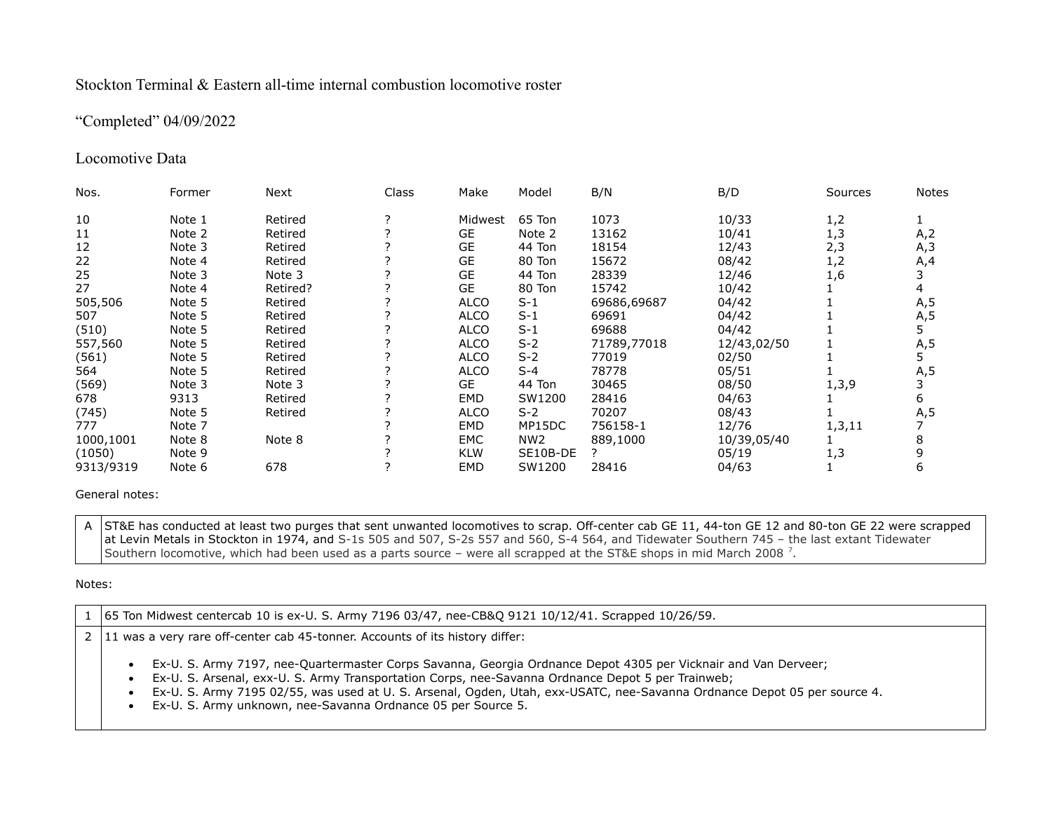## Stockton Terminal & Eastern all-time internal combustion locomotive roster

# "Completed" 04/09/2022

# Locomotive Data

| Nos.      | Former | Next     | Class | Make        | Model           | B/N         | B/D         | Sources | Notes |
|-----------|--------|----------|-------|-------------|-----------------|-------------|-------------|---------|-------|
| 10        | Note 1 | Retired  |       | Midwest     | 65 Ton          | 1073        | 10/33       | 1,2     |       |
| 11        | Note 2 | Retired  |       | <b>GE</b>   | Note 2          | 13162       | 10/41       | 1,3     | A,2   |
| 12        | Note 3 | Retired  |       | GE          | 44 Ton          | 18154       | 12/43       | 2,3     | A,3   |
| 22        | Note 4 | Retired  |       | <b>GE</b>   | 80 Ton          | 15672       | 08/42       | 1,2     | A,4   |
| 25        | Note 3 | Note 3   |       | <b>GE</b>   | 44 Ton          | 28339       | 12/46       | 1,6     |       |
| 27        | Note 4 | Retired? |       | <b>GE</b>   | 80 Ton          | 15742       | 10/42       |         |       |
| 505,506   | Note 5 | Retired  |       | <b>ALCO</b> | $S-1$           | 69686,69687 | 04/42       |         | A,5   |
| 507       | Note 5 | Retired  |       | <b>ALCO</b> | $S-1$           | 69691       | 04/42       |         | A,5   |
| (510)     | Note 5 | Retired  |       | ALCO        | $S-1$           | 69688       | 04/42       |         |       |
| 557,560   | Note 5 | Retired  |       | ALCO        | $S-2$           | 71789,77018 | 12/43,02/50 |         | A, 5  |
| (561)     | Note 5 | Retired  |       | ALCO        | $S-2$           | 77019       | 02/50       |         |       |
| 564       | Note 5 | Retired  |       | <b>ALCO</b> | $S-4$           | 78778       | 05/51       |         | A,5   |
| (569)     | Note 3 | Note 3   |       | GE          | 44 Ton          | 30465       | 08/50       | 1, 3, 9 |       |
| 678       | 9313   | Retired  |       | EMD         | SW1200          | 28416       | 04/63       |         | 6     |
| (745)     | Note 5 | Retired  |       | ALCO        | $S-2$           | 70207       | 08/43       |         | A, 5  |
| 777       | Note 7 |          |       | EMD         | MP15DC          | 756158-1    | 12/76       | 1,3,11  |       |
| 1000,1001 | Note 8 | Note 8   |       | EMC         | NW <sub>2</sub> | 889,1000    | 10/39,05/40 |         |       |
| (1050)    | Note 9 |          |       | <b>KLW</b>  | SE10B-DE        |             | 05/19       | 1,3     |       |
| 9313/9319 | Note 6 | 678      |       | EMD         | SW1200          | 28416       | 04/63       |         | 6     |

### General notes:

A ST&E has conducted at least two purges that sent unwanted locomotives to scrap. Off-center cab GE 11, 44-ton GE 12 and 80-ton GE 22 were scrapped at Levin Metals in Stockton in 1974, and S-1s 505 and 507, S-2s 557 and 560, S-4 564, and Tidewater Southern 745 – the last extant Tidewater Southern locomotive, which had been used as a parts source – were all scrapped at the ST&E shops in mid March 2008  $^7$ .

### Notes:

1 65 Ton Midwest centercab 10 is ex-U. S. Army 7196 03/47, nee-CB&Q 9121 10/12/41. Scrapped 10/26/59.

 $2 \mid 11$  was a very rare off-center cab 45-tonner. Accounts of its history differ:

- Ex-U. S. Army 7197, nee-Quartermaster Corps Savanna, Georgia Ordnance Depot 4305 per Vicknair and Van Derveer;
- Ex-U. S. Arsenal, exx-U. S. Army Transportation Corps, nee-Savanna Ordnance Depot 5 per Trainweb;
- Ex-U. S. Army 7195 02/55, was used at U. S. Arsenal, Ogden, Utah, exx-USATC, nee-Savanna Ordnance Depot 05 per source 4.
- Ex-U. S. Army unknown, nee-Savanna Ordnance 05 per Source 5.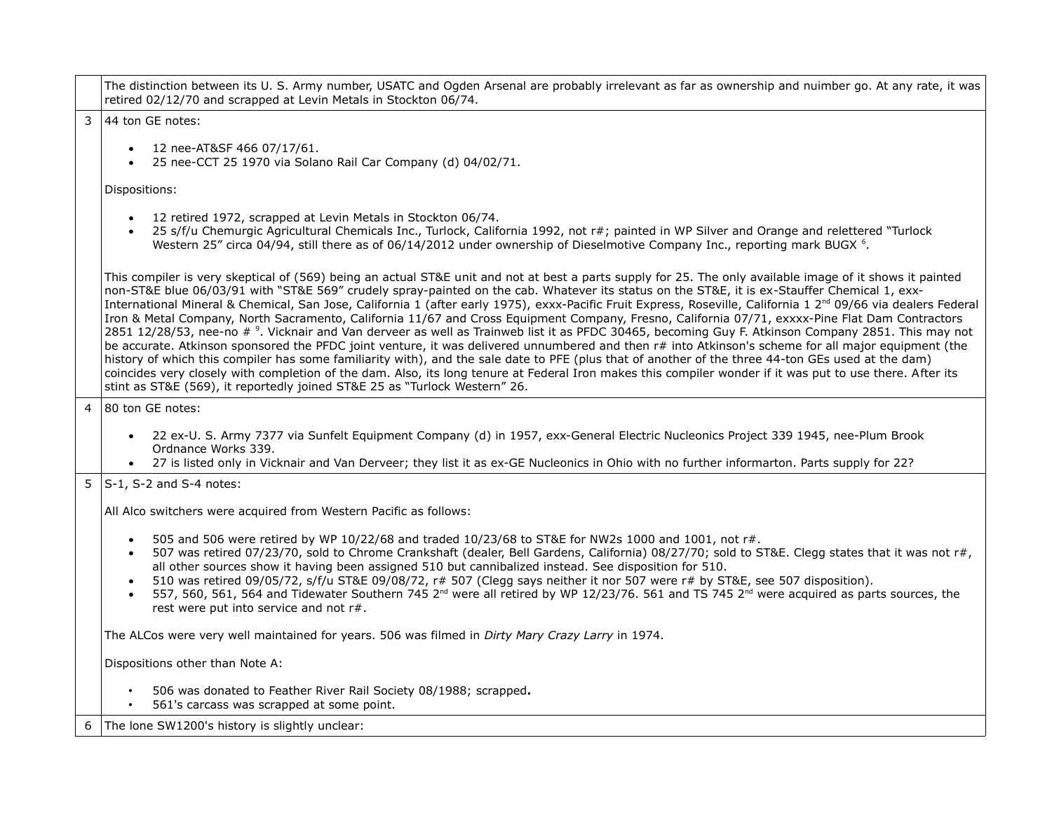|                | The distinction between its U. S. Army number, USATC and Ogden Arsenal are probably irrelevant as far as ownership and nuimber go. At any rate, it was<br>retired 02/12/70 and scrapped at Levin Metals in Stockton 06/74.                                                                                                                                                                                                                                                                                                                                                                                                                                                                                                                                                                                                                                                                                                                                                                                                                                                                                                                                                                                                                                                                                                                                           |  |  |  |  |
|----------------|----------------------------------------------------------------------------------------------------------------------------------------------------------------------------------------------------------------------------------------------------------------------------------------------------------------------------------------------------------------------------------------------------------------------------------------------------------------------------------------------------------------------------------------------------------------------------------------------------------------------------------------------------------------------------------------------------------------------------------------------------------------------------------------------------------------------------------------------------------------------------------------------------------------------------------------------------------------------------------------------------------------------------------------------------------------------------------------------------------------------------------------------------------------------------------------------------------------------------------------------------------------------------------------------------------------------------------------------------------------------|--|--|--|--|
| 3              | 44 ton GE notes:                                                                                                                                                                                                                                                                                                                                                                                                                                                                                                                                                                                                                                                                                                                                                                                                                                                                                                                                                                                                                                                                                                                                                                                                                                                                                                                                                     |  |  |  |  |
|                | 12 nee-AT&SF 466 07/17/61.<br>$\bullet$<br>25 nee-CCT 25 1970 via Solano Rail Car Company (d) 04/02/71.                                                                                                                                                                                                                                                                                                                                                                                                                                                                                                                                                                                                                                                                                                                                                                                                                                                                                                                                                                                                                                                                                                                                                                                                                                                              |  |  |  |  |
|                | Dispositions:                                                                                                                                                                                                                                                                                                                                                                                                                                                                                                                                                                                                                                                                                                                                                                                                                                                                                                                                                                                                                                                                                                                                                                                                                                                                                                                                                        |  |  |  |  |
|                | 12 retired 1972, scrapped at Levin Metals in Stockton 06/74.<br>25 s/f/u Chemurgic Agricultural Chemicals Inc., Turlock, California 1992, not r#; painted in WP Silver and Orange and relettered "Turlock<br>Western 25" circa 04/94, still there as of 06/14/2012 under ownership of Dieselmotive Company Inc., reporting mark BUGX <sup>6</sup> .                                                                                                                                                                                                                                                                                                                                                                                                                                                                                                                                                                                                                                                                                                                                                                                                                                                                                                                                                                                                                  |  |  |  |  |
|                | This compiler is very skeptical of (569) being an actual ST&E unit and not at best a parts supply for 25. The only available image of it shows it painted<br>non-ST&E blue 06/03/91 with "ST&E 569" crudely spray-painted on the cab. Whatever its status on the ST&E, it is ex-Stauffer Chemical 1, exx-<br>International Mineral & Chemical, San Jose, California 1 (after early 1975), exxx-Pacific Fruit Express, Roseville, California 1 2 <sup>nd</sup> 09/66 via dealers Federal<br>Iron & Metal Company, North Sacramento, California 11/67 and Cross Equipment Company, Fresno, California 07/71, exxxx-Pine Flat Dam Contractors<br>2851 12/28/53, nee-no # <sup>9</sup> . Vicknair and Van derveer as well as Trainweb list it as PFDC 30465, becoming Guy F. Atkinson Company 2851. This may not<br>be accurate. Atkinson sponsored the PFDC joint venture, it was delivered unnumbered and then r# into Atkinson's scheme for all major equipment (the<br>history of which this compiler has some familiarity with), and the sale date to PFE (plus that of another of the three 44-ton GEs used at the dam)<br>coincides very closely with completion of the dam. Also, its long tenure at Federal Iron makes this compiler wonder if it was put to use there. After its<br>stint as ST&E (569), it reportedly joined ST&E 25 as "Turlock Western" 26. |  |  |  |  |
| $\overline{4}$ | 80 ton GE notes:                                                                                                                                                                                                                                                                                                                                                                                                                                                                                                                                                                                                                                                                                                                                                                                                                                                                                                                                                                                                                                                                                                                                                                                                                                                                                                                                                     |  |  |  |  |
|                | 22 ex-U. S. Army 7377 via Sunfelt Equipment Company (d) in 1957, exx-General Electric Nucleonics Project 339 1945, nee-Plum Brook<br>Ordnance Works 339.<br>27 is listed only in Vicknair and Van Derveer; they list it as ex-GE Nucleonics in Ohio with no further informarton. Parts supply for 22?                                                                                                                                                                                                                                                                                                                                                                                                                                                                                                                                                                                                                                                                                                                                                                                                                                                                                                                                                                                                                                                                |  |  |  |  |
| 5              | $S-1$ , S-2 and S-4 notes:                                                                                                                                                                                                                                                                                                                                                                                                                                                                                                                                                                                                                                                                                                                                                                                                                                                                                                                                                                                                                                                                                                                                                                                                                                                                                                                                           |  |  |  |  |
|                | All Alco switchers were acquired from Western Pacific as follows:                                                                                                                                                                                                                                                                                                                                                                                                                                                                                                                                                                                                                                                                                                                                                                                                                                                                                                                                                                                                                                                                                                                                                                                                                                                                                                    |  |  |  |  |
|                | 505 and 506 were retired by WP 10/22/68 and traded 10/23/68 to ST&E for NW2s 1000 and 1001, not r#.<br>$\bullet$<br>507 was retired 07/23/70, sold to Chrome Crankshaft (dealer, Bell Gardens, California) 08/27/70; sold to ST&E. Clegg states that it was not r#,<br>all other sources show it having been assigned 510 but cannibalized instead. See disposition for 510.<br>510 was retired 09/05/72, s/f/u ST&E 09/08/72, r# 507 (Clegg says neither it nor 507 were r# by ST&E, see 507 disposition).<br>557, 560, 561, 564 and Tidewater Southern 745 2 <sup>nd</sup> were all retired by WP 12/23/76. 561 and TS 745 2 <sup>nd</sup> were acquired as parts sources, the<br>rest were put into service and not r#.                                                                                                                                                                                                                                                                                                                                                                                                                                                                                                                                                                                                                                           |  |  |  |  |
|                | The ALCos were very well maintained for years. 506 was filmed in Dirty Mary Crazy Larry in 1974.                                                                                                                                                                                                                                                                                                                                                                                                                                                                                                                                                                                                                                                                                                                                                                                                                                                                                                                                                                                                                                                                                                                                                                                                                                                                     |  |  |  |  |
|                | Dispositions other than Note A:                                                                                                                                                                                                                                                                                                                                                                                                                                                                                                                                                                                                                                                                                                                                                                                                                                                                                                                                                                                                                                                                                                                                                                                                                                                                                                                                      |  |  |  |  |
|                | 506 was donated to Feather River Rail Society 08/1988; scrapped.<br>561's carcass was scrapped at some point.                                                                                                                                                                                                                                                                                                                                                                                                                                                                                                                                                                                                                                                                                                                                                                                                                                                                                                                                                                                                                                                                                                                                                                                                                                                        |  |  |  |  |
| 6              | The lone SW1200's history is slightly unclear:                                                                                                                                                                                                                                                                                                                                                                                                                                                                                                                                                                                                                                                                                                                                                                                                                                                                                                                                                                                                                                                                                                                                                                                                                                                                                                                       |  |  |  |  |